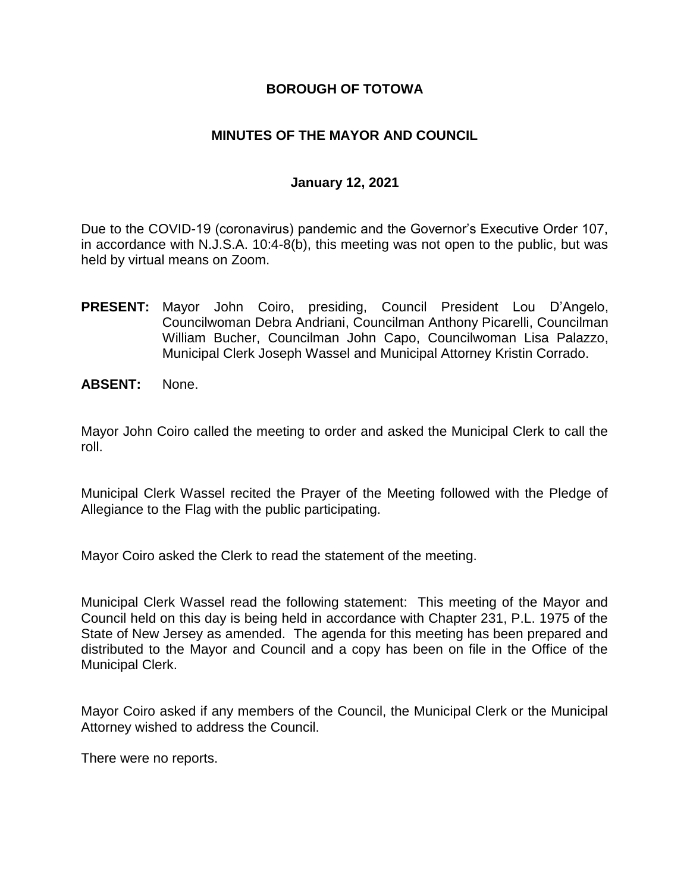## **BOROUGH OF TOTOWA**

## **MINUTES OF THE MAYOR AND COUNCIL**

### **January 12, 2021**

Due to the COVID-19 (coronavirus) pandemic and the Governor's Executive Order 107, in accordance with N.J.S.A. 10:4-8(b), this meeting was not open to the public, but was held by virtual means on Zoom.

- **PRESENT:** Mayor John Coiro, presiding, Council President Lou D'Angelo, Councilwoman Debra Andriani, Councilman Anthony Picarelli, Councilman William Bucher, Councilman John Capo, Councilwoman Lisa Palazzo, Municipal Clerk Joseph Wassel and Municipal Attorney Kristin Corrado.
- **ABSENT:** None.

Mayor John Coiro called the meeting to order and asked the Municipal Clerk to call the roll.

Municipal Clerk Wassel recited the Prayer of the Meeting followed with the Pledge of Allegiance to the Flag with the public participating.

Mayor Coiro asked the Clerk to read the statement of the meeting.

Municipal Clerk Wassel read the following statement: This meeting of the Mayor and Council held on this day is being held in accordance with Chapter 231, P.L. 1975 of the State of New Jersey as amended. The agenda for this meeting has been prepared and distributed to the Mayor and Council and a copy has been on file in the Office of the Municipal Clerk.

Mayor Coiro asked if any members of the Council, the Municipal Clerk or the Municipal Attorney wished to address the Council.

There were no reports.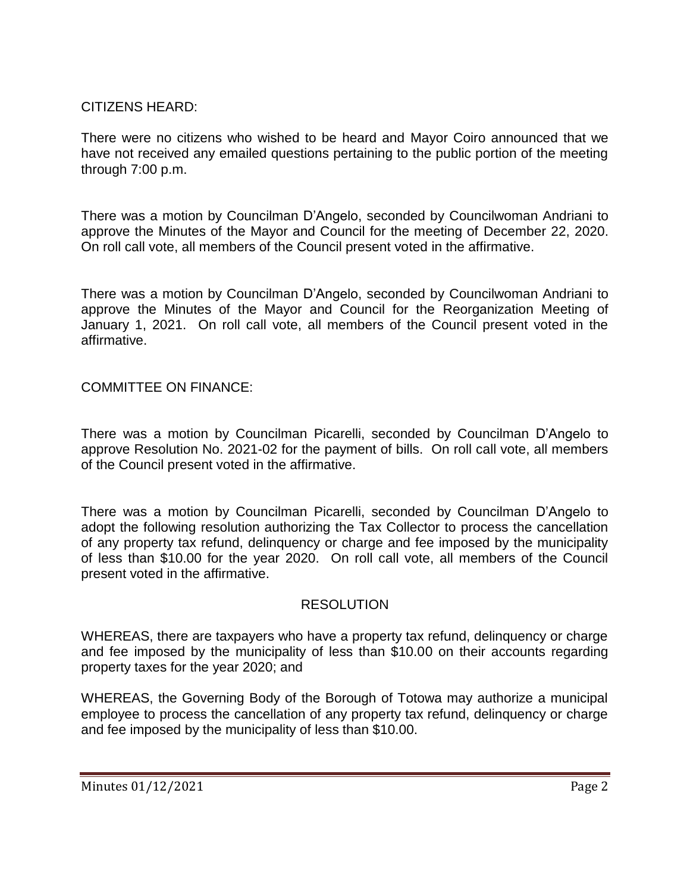# CITIZENS HEARD:

There were no citizens who wished to be heard and Mayor Coiro announced that we have not received any emailed questions pertaining to the public portion of the meeting through 7:00 p.m.

There was a motion by Councilman D'Angelo, seconded by Councilwoman Andriani to approve the Minutes of the Mayor and Council for the meeting of December 22, 2020. On roll call vote, all members of the Council present voted in the affirmative.

There was a motion by Councilman D'Angelo, seconded by Councilwoman Andriani to approve the Minutes of the Mayor and Council for the Reorganization Meeting of January 1, 2021. On roll call vote, all members of the Council present voted in the affirmative.

COMMITTEE ON FINANCE:

There was a motion by Councilman Picarelli, seconded by Councilman D'Angelo to approve Resolution No. 2021-02 for the payment of bills. On roll call vote, all members of the Council present voted in the affirmative.

There was a motion by Councilman Picarelli, seconded by Councilman D'Angelo to adopt the following resolution authorizing the Tax Collector to process the cancellation of any property tax refund, delinquency or charge and fee imposed by the municipality of less than \$10.00 for the year 2020. On roll call vote, all members of the Council present voted in the affirmative.

### RESOLUTION

WHEREAS, there are taxpayers who have a property tax refund, delinquency or charge and fee imposed by the municipality of less than \$10.00 on their accounts regarding property taxes for the year 2020; and

WHEREAS, the Governing Body of the Borough of Totowa may authorize a municipal employee to process the cancellation of any property tax refund, delinquency or charge and fee imposed by the municipality of less than \$10.00.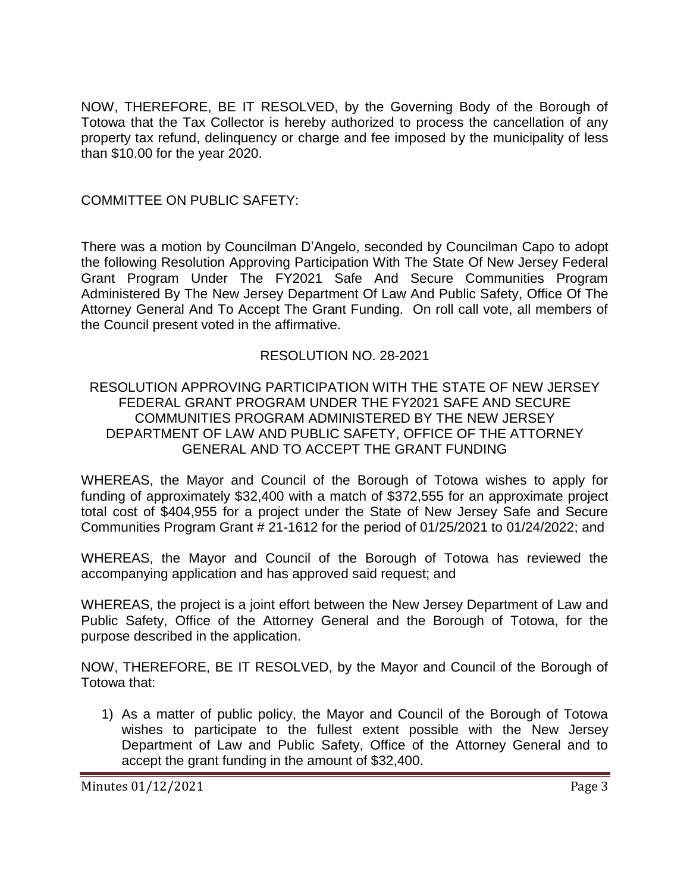NOW, THEREFORE, BE IT RESOLVED, by the Governing Body of the Borough of Totowa that the Tax Collector is hereby authorized to process the cancellation of any property tax refund, delinquency or charge and fee imposed by the municipality of less than \$10.00 for the year 2020.

COMMITTEE ON PUBLIC SAFETY:

There was a motion by Councilman D'Angelo, seconded by Councilman Capo to adopt the following Resolution Approving Participation With The State Of New Jersey Federal Grant Program Under The FY2021 Safe And Secure Communities Program Administered By The New Jersey Department Of Law And Public Safety, Office Of The Attorney General And To Accept The Grant Funding. On roll call vote, all members of the Council present voted in the affirmative.

## RESOLUTION NO. 28-2021

### RESOLUTION APPROVING PARTICIPATION WITH THE STATE OF NEW JERSEY FEDERAL GRANT PROGRAM UNDER THE FY2021 SAFE AND SECURE COMMUNITIES PROGRAM ADMINISTERED BY THE NEW JERSEY DEPARTMENT OF LAW AND PUBLIC SAFETY, OFFICE OF THE ATTORNEY GENERAL AND TO ACCEPT THE GRANT FUNDING

WHEREAS, the Mayor and Council of the Borough of Totowa wishes to apply for funding of approximately \$32,400 with a match of \$372,555 for an approximate project total cost of \$404,955 for a project under the State of New Jersey Safe and Secure Communities Program Grant # 21-1612 for the period of 01/25/2021 to 01/24/2022; and

WHEREAS, the Mayor and Council of the Borough of Totowa has reviewed the accompanying application and has approved said request; and

WHEREAS, the project is a joint effort between the New Jersey Department of Law and Public Safety, Office of the Attorney General and the Borough of Totowa, for the purpose described in the application.

NOW, THEREFORE, BE IT RESOLVED, by the Mayor and Council of the Borough of Totowa that:

1) As a matter of public policy, the Mayor and Council of the Borough of Totowa wishes to participate to the fullest extent possible with the New Jersey Department of Law and Public Safety, Office of the Attorney General and to accept the grant funding in the amount of \$32,400.

Minutes 01/12/2021 Page 3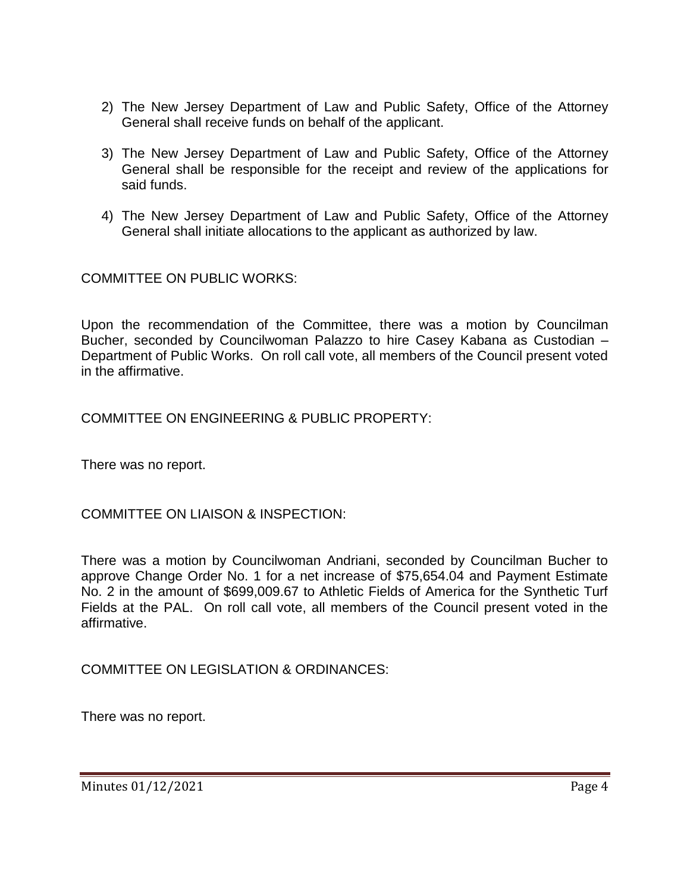- 2) The New Jersey Department of Law and Public Safety, Office of the Attorney General shall receive funds on behalf of the applicant.
- 3) The New Jersey Department of Law and Public Safety, Office of the Attorney General shall be responsible for the receipt and review of the applications for said funds.
- 4) The New Jersey Department of Law and Public Safety, Office of the Attorney General shall initiate allocations to the applicant as authorized by law.

COMMITTEE ON PUBLIC WORKS:

Upon the recommendation of the Committee, there was a motion by Councilman Bucher, seconded by Councilwoman Palazzo to hire Casey Kabana as Custodian – Department of Public Works. On roll call vote, all members of the Council present voted in the affirmative.

COMMITTEE ON ENGINEERING & PUBLIC PROPERTY:

There was no report.

COMMITTEE ON LIAISON & INSPECTION:

There was a motion by Councilwoman Andriani, seconded by Councilman Bucher to approve Change Order No. 1 for a net increase of \$75,654.04 and Payment Estimate No. 2 in the amount of \$699,009.67 to Athletic Fields of America for the Synthetic Turf Fields at the PAL. On roll call vote, all members of the Council present voted in the affirmative.

COMMITTEE ON LEGISLATION & ORDINANCES:

There was no report.